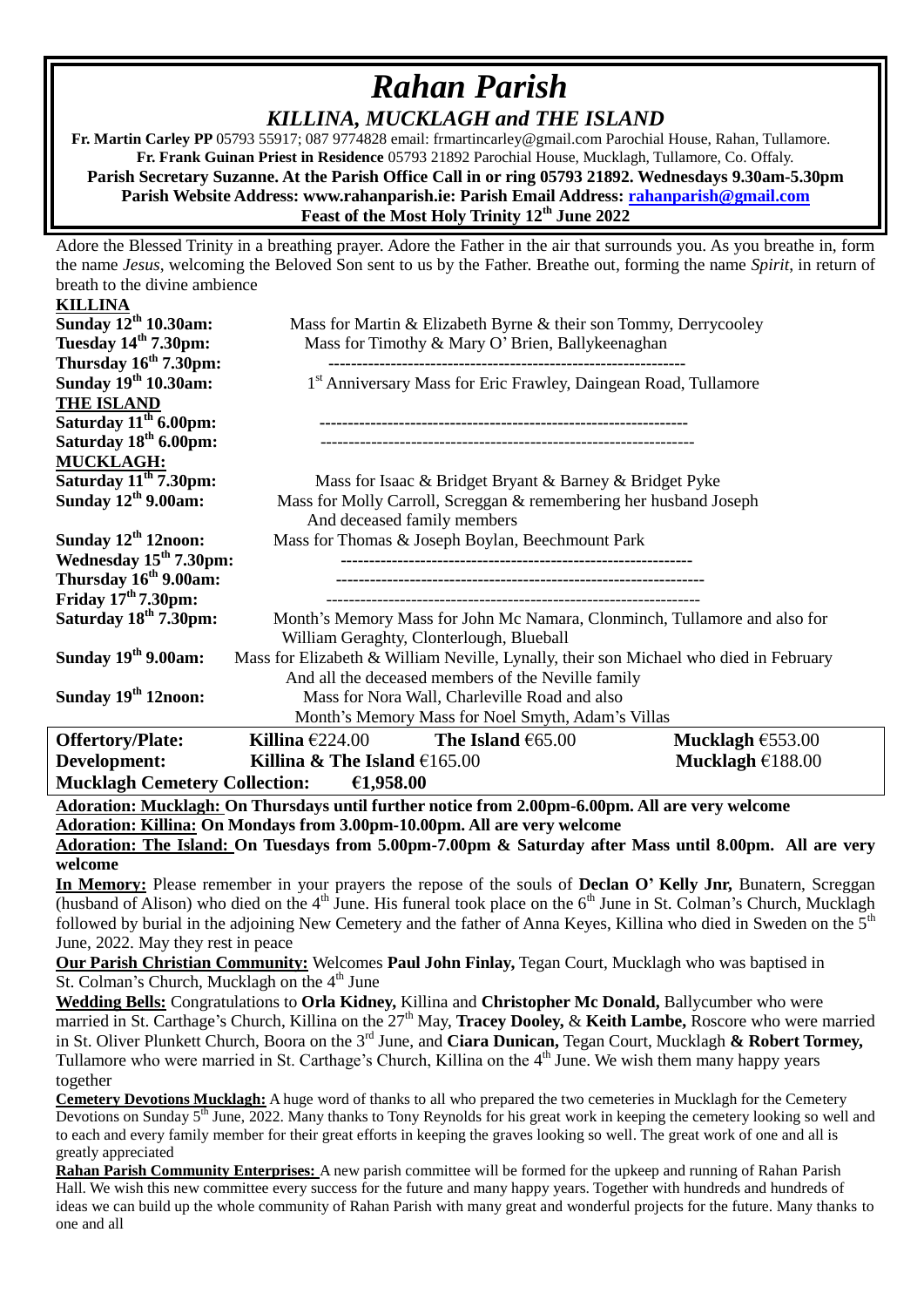## *Rahan Parish KILLINA, MUCKLAGH and THE ISLAND*

 **Fr. Martin Carley PP** 05793 55917; 087 9774828 email: frmartincarley@gmail.com Parochial House, Rahan, Tullamore. **Fr. Frank Guinan Priest in Residence** 05793 21892 Parochial House, Mucklagh, Tullamore, Co. Offaly. **Parish Secretary Suzanne. At the Parish Office Call in or ring 05793 21892. Wednesdays 9.30am-5.30pm Parish Website Address: www.rahanparish.ie: Parish Email Address: [rahanparish@gmail.com](mailto:rahanparish@gmail.com) Feast of the Most Holy Trinity 12th June 2022**

Adore the Blessed Trinity in a breathing prayer. Adore the Father in the air that surrounds you. As you breathe in, form the name *Jesus*, welcoming the Beloved Son sent to us by the Father. Breathe out, forming the name *Spirit*, in return of breath to the divine ambience

| <b>KILLINA</b>                                    |                                                                                       |                    |                    |  |
|---------------------------------------------------|---------------------------------------------------------------------------------------|--------------------|--------------------|--|
| Sunday 12 <sup>th</sup> 10.30am:                  | Mass for Martin & Elizabeth Byrne & their son Tommy, Derrycooley                      |                    |                    |  |
| Tuesday 14 <sup>th</sup> 7.30pm:                  | Mass for Timothy & Mary O' Brien, Ballykeenaghan                                      |                    |                    |  |
| Thursday $16th 7.30$ pm:                          |                                                                                       |                    |                    |  |
| Sunday 19 <sup>th</sup> 10.30am:                  | 1 <sup>st</sup> Anniversary Mass for Eric Frawley, Daingean Road, Tullamore           |                    |                    |  |
| <b>THE ISLAND</b>                                 |                                                                                       |                    |                    |  |
| Saturday $11th 6.00$ pm:                          |                                                                                       |                    |                    |  |
| Saturday 18 <sup>th</sup> 6.00pm:                 |                                                                                       |                    |                    |  |
| <b>MUCKLAGH:</b>                                  |                                                                                       |                    |                    |  |
| Saturday 11 <sup>th</sup> 7.30pm:                 | Mass for Isaac & Bridget Bryant & Barney & Bridget Pyke                               |                    |                    |  |
| Sunday $12^{th}$ 9.00am:                          | Mass for Molly Carroll, Screggan & remembering her husband Joseph                     |                    |                    |  |
|                                                   | And deceased family members                                                           |                    |                    |  |
| Sunday $12th 12$ noon:                            | Mass for Thomas & Joseph Boylan, Beechmount Park                                      |                    |                    |  |
| Wednesday $15th 7.30$ pm:                         |                                                                                       |                    |                    |  |
| Thursday 16 <sup>th</sup> 9.00am:                 |                                                                                       |                    |                    |  |
| Friday $17th 7.30 \text{pm}$ :                    |                                                                                       |                    |                    |  |
| Saturday 18 <sup>th</sup> 7.30pm:                 | Month's Memory Mass for John Mc Namara, Clonminch, Tullamore and also for             |                    |                    |  |
|                                                   | William Geraghty, Clonterlough, Blueball                                              |                    |                    |  |
| Sunday $19th$ 9.00am:                             | Mass for Elizabeth & William Neville, Lynally, their son Michael who died in February |                    |                    |  |
|                                                   | And all the deceased members of the Neville family                                    |                    |                    |  |
| Sunday 19 <sup>th</sup> 12noon:                   | Mass for Nora Wall, Charleville Road and also                                         |                    |                    |  |
| Month's Memory Mass for Noel Smyth, Adam's Villas |                                                                                       |                    |                    |  |
| <b>Offertory/Plate:</b>                           | Killina $\epsilon$ 224.00                                                             | The Island $65.00$ | Mucklagh $£553.00$ |  |
| Development:                                      | Killina & The Island $£165.00$                                                        |                    | Mucklagh $£188.00$ |  |
| Mucklagh Cemetery Collection: $\epsilon$ 1,958.00 |                                                                                       |                    |                    |  |
|                                                   |                                                                                       |                    |                    |  |

**Adoration: Mucklagh: On Thursdays until further notice from 2.00pm-6.00pm. All are very welcome Adoration: Killina: On Mondays from 3.00pm-10.00pm. All are very welcome**

**Adoration: The Island: On Tuesdays from 5.00pm-7.00pm & Saturday after Mass until 8.00pm. All are very welcome**

**In Memory:** Please remember in your prayers the repose of the souls of **Declan O' Kelly Jnr,** Bunatern, Screggan (husband of Alison) who died on the  $4<sup>th</sup>$  June. His funeral took place on the  $6<sup>th</sup>$  June in St. Colman's Church, Mucklagh followed by burial in the adjoining New Cemetery and the father of Anna Keyes, Killina who died in Sweden on the 5<sup>th</sup> June, 2022. May they rest in peace

**Our Parish Christian Community:** Welcomes **Paul John Finlay,** Tegan Court, Mucklagh who was baptised in St. Colman's Church, Mucklagh on the  $4<sup>th</sup>$  June

**Wedding Bells:** Congratulations to **Orla Kidney,** Killina and **Christopher Mc Donald,** Ballycumber who were married in St. Carthage's Church, Killina on the 27<sup>th</sup> May, **Tracey Dooley, & Keith Lambe,** Roscore who were married in St. Oliver Plunkett Church, Boora on the 3rd June, and **Ciara Dunican,** Tegan Court, Mucklagh **& Robert Tormey,**  Tullamore who were married in St. Carthage's Church, Killina on the 4<sup>th</sup> June. We wish them many happy years together

**Cemetery Devotions Mucklagh:** A huge word of thanks to all who prepared the two cemeteries in Mucklagh for the Cemetery Devotions on Sunday 5<sup>th</sup> June, 2022. Many thanks to Tony Reynolds for his great work in keeping the cemetery looking so well and to each and every family member for their great efforts in keeping the graves looking so well. The great work of one and all is greatly appreciated

**Rahan Parish Community Enterprises:** A new parish committee will be formed for the upkeep and running of Rahan Parish Hall. We wish this new committee every success for the future and many happy years. Together with hundreds and hundreds of ideas we can build up the whole community of Rahan Parish with many great and wonderful projects for the future. Many thanks to one and all